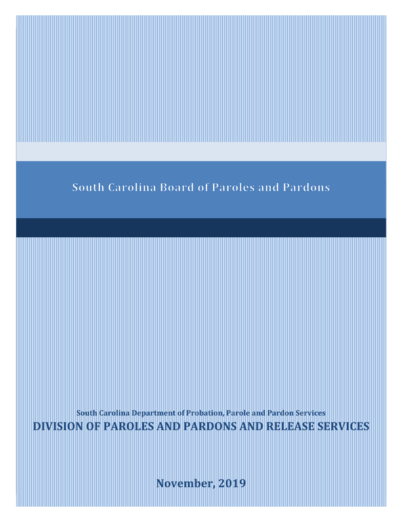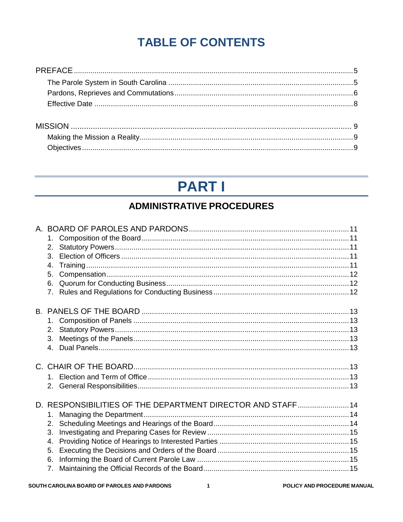## **TABLE OF CONTENTS**

# **PART I**

## **ADMINISTRATIVE PROCEDURES**

| 2 <sub>1</sub><br>$\mathcal{R}$<br>4.<br>5.                    |                                                             |  |
|----------------------------------------------------------------|-------------------------------------------------------------|--|
| 7.                                                             |                                                             |  |
| 3 <sub>1</sub><br>$\overline{4}$                               |                                                             |  |
|                                                                |                                                             |  |
| 1.<br>2.<br>3.<br>$\mathbf{4}$ .<br>5.<br>6.<br>7 <sub>1</sub> | D. RESPONSIBILITIES OF THE DEPARTMENT DIRECTOR AND STAFF 14 |  |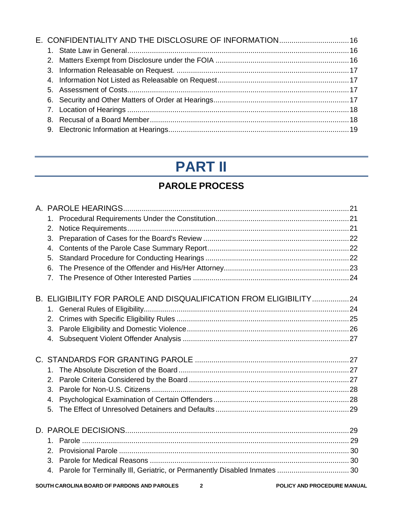|  | E. CONFIDENTIALITY AND THE DISCLOSURE OF INFORMATION 16 |  |
|--|---------------------------------------------------------|--|
|  |                                                         |  |
|  |                                                         |  |
|  |                                                         |  |
|  |                                                         |  |
|  |                                                         |  |
|  |                                                         |  |
|  |                                                         |  |
|  |                                                         |  |
|  |                                                         |  |

## **PART II**

## **PAROLE PROCESS**

| $1_{-}$                                                           |  |
|-------------------------------------------------------------------|--|
| 2.                                                                |  |
| 3.                                                                |  |
| 4.                                                                |  |
| 5.                                                                |  |
| 6.                                                                |  |
| 7.                                                                |  |
| B. ELIGIBILITY FOR PAROLE AND DISQUALIFICATION FROM ELIGIBILITY24 |  |
|                                                                   |  |
| 2.                                                                |  |
| 3.                                                                |  |
| 4.                                                                |  |
|                                                                   |  |
| 1 <sup>1</sup>                                                    |  |
| 2.                                                                |  |
| 3.                                                                |  |
| $\mathbf{4}$ .                                                    |  |
| 5.                                                                |  |
|                                                                   |  |
|                                                                   |  |
| 2 <sub>1</sub>                                                    |  |
| 3.                                                                |  |
| 4.                                                                |  |
|                                                                   |  |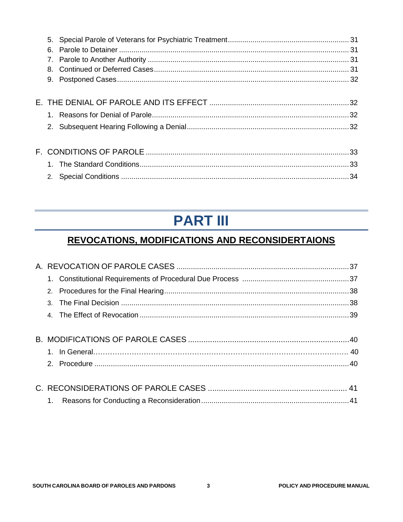| 6. |  |
|----|--|
|    |  |
|    |  |
|    |  |
|    |  |
|    |  |
|    |  |
|    |  |
|    |  |
|    |  |
|    |  |
| 2. |  |
|    |  |

# **PART III**

## **REVOCATIONS, MODIFICATIONS AND RECONSIDERTAIONS**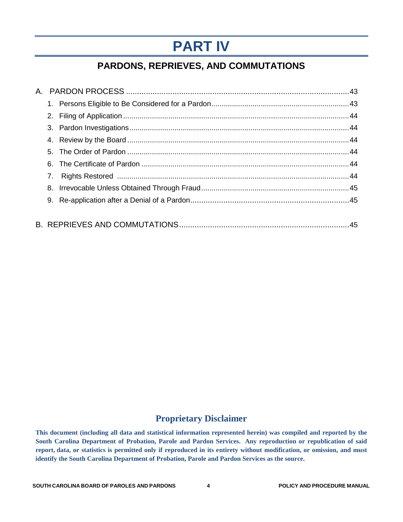# **PART IV**

## **PARDONS, REPRIEVES, AND COMMUTATIONS**

| 7. |  |
|----|--|
|    |  |
|    |  |
|    |  |
|    |  |

#### **Proprietary Disclaimer**

**This document (including all data and statistical information represented herein) was compiled and reported by the South Carolina Department of Probation, Parole and Pardon Services. Any reproduction or republication of said report, data, or statistics is permitted only if reproduced in its entirety without modification, or omission, and must identify the South Carolina Department of Probation, Parole and Pardon Services as the source.**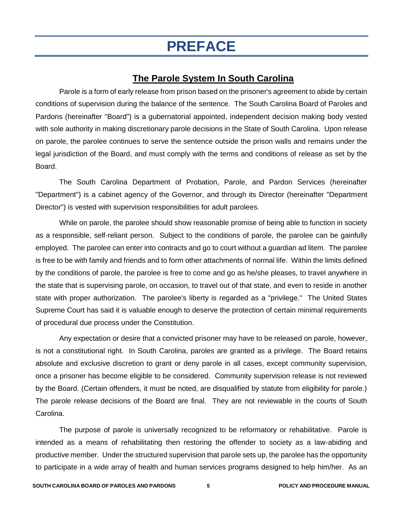# **PREFACE**

### **The Parole System In South Carolina**

Parole is a form of early release from prison based on the prisoner's agreement to abide by certain conditions of supervision during the balance of the sentence. The South Carolina Board of Paroles and Pardons (hereinafter "Board") is a gubernatorial appointed, independent decision making body vested with sole authority in making discretionary parole decisions in the State of South Carolina. Upon release on parole, the parolee continues to serve the sentence outside the prison walls and remains under the legal jurisdiction of the Board, and must comply with the terms and conditions of release as set by the Board.

The South Carolina Department of Probation, Parole, and Pardon Services (hereinafter "Department") is a cabinet agency of the Governor, and through its Director (hereinafter "Department Director") is vested with supervision responsibilities for adult parolees.

While on parole, the parolee should show reasonable promise of being able to function in society as a responsible, self-reliant person. Subject to the conditions of parole, the parolee can be gainfully employed. The parolee can enter into contracts and go to court without a guardian ad litem. The parolee is free to be with family and friends and to form other attachments of normal life. Within the limits defined by the conditions of parole, the parolee is free to come and go as he/she pleases, to travel anywhere in the state that is supervising parole, on occasion, to travel out of that state, and even to reside in another state with proper authorization. The parolee's liberty is regarded as a "privilege." The United States Supreme Court has said it is valuable enough to deserve the protection of certain minimal requirements of procedural due process under the Constitution.

Any expectation or desire that a convicted prisoner may have to be released on parole, however, is not a constitutional right. In South Carolina, paroles are granted as a privilege. The Board retains absolute and exclusive discretion to grant or deny parole in all cases, except community supervision, once a prisoner has become eligible to be considered. Community supervision release is not reviewed by the Board. (Certain offenders, it must be noted, are disqualified by statute from eligibility for parole.) The parole release decisions of the Board are final. They are not reviewable in the courts of South Carolina.

The purpose of parole is universally recognized to be reformatory or rehabilitative. Parole is intended as a means of rehabilitating then restoring the offender to society as a law-abiding and productive member. Under the structured supervision that parole sets up, the parolee has the opportunity to participate in a wide array of health and human services programs designed to help him/her. As an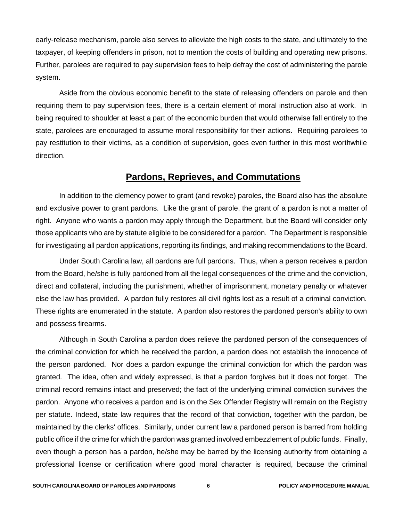early-release mechanism, parole also serves to alleviate the high costs to the state, and ultimately to the taxpayer, of keeping offenders in prison, not to mention the costs of building and operating new prisons. Further, parolees are required to pay supervision fees to help defray the cost of administering the parole system.

Aside from the obvious economic benefit to the state of releasing offenders on parole and then requiring them to pay supervision fees, there is a certain element of moral instruction also at work. In being required to shoulder at least a part of the economic burden that would otherwise fall entirely to the state, parolees are encouraged to assume moral responsibility for their actions. Requiring parolees to pay restitution to their victims, as a condition of supervision, goes even further in this most worthwhile direction.

#### **Pardons, Reprieves, and Commutations**

In addition to the clemency power to grant (and revoke) paroles, the Board also has the absolute and exclusive power to grant pardons. Like the grant of parole, the grant of a pardon is not a matter of right. Anyone who wants a pardon may apply through the Department, but the Board will consider only those applicants who are by statute eligible to be considered for a pardon. The Department is responsible for investigating all pardon applications, reporting its findings, and making recommendations to the Board.

Under South Carolina law, all pardons are full pardons. Thus, when a person receives a pardon from the Board, he/she is fully pardoned from all the legal consequences of the crime and the conviction, direct and collateral, including the punishment, whether of imprisonment, monetary penalty or whatever else the law has provided. A pardon fully restores all civil rights lost as a result of a criminal conviction. These rights are enumerated in the statute. A pardon also restores the pardoned person's ability to own and possess firearms.

Although in South Carolina a pardon does relieve the pardoned person of the consequences of the criminal conviction for which he received the pardon, a pardon does not establish the innocence of the person pardoned. Nor does a pardon expunge the criminal conviction for which the pardon was granted. The idea, often and widely expressed, is that a pardon forgives but it does not forget. The criminal record remains intact and preserved; the fact of the underlying criminal conviction survives the pardon. Anyone who receives a pardon and is on the Sex Offender Registry will remain on the Registry per statute. Indeed, state law requires that the record of that conviction, together with the pardon, be maintained by the clerks' offices. Similarly, under current law a pardoned person is barred from holding public office if the crime for which the pardon was granted involved embezzlement of public funds. Finally, even though a person has a pardon, he/she may be barred by the licensing authority from obtaining a professional license or certification where good moral character is required, because the criminal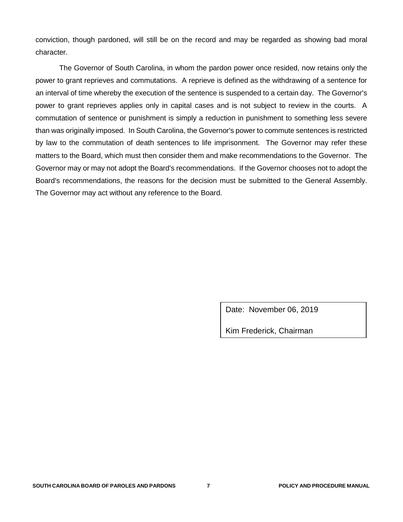conviction, though pardoned, will still be on the record and may be regarded as showing bad moral character.

The Governor of South Carolina, in whom the pardon power once resided, now retains only the power to grant reprieves and commutations. A reprieve is defined as the withdrawing of a sentence for an interval of time whereby the execution of the sentence is suspended to a certain day. The Governor's power to grant reprieves applies only in capital cases and is not subject to review in the courts. A commutation of sentence or punishment is simply a reduction in punishment to something less severe than was originally imposed. In South Carolina, the Governor's power to commute sentences is restricted by law to the commutation of death sentences to life imprisonment. The Governor may refer these matters to the Board, which must then consider them and make recommendations to the Governor. The Governor may or may not adopt the Board's recommendations. If the Governor chooses not to adopt the Board's recommendations, the reasons for the decision must be submitted to the General Assembly. The Governor may act without any reference to the Board.

Date: November 06, 2019

Kim Frederick, Chairman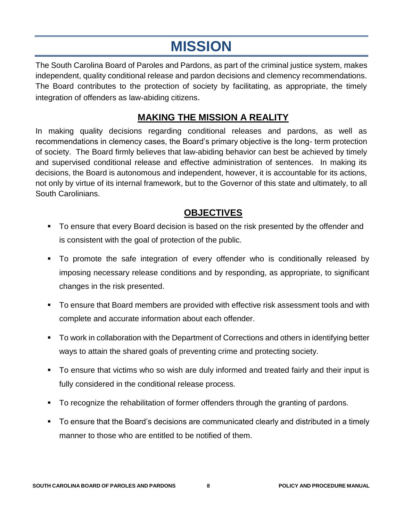# **MISSION**

The South Carolina Board of Paroles and Pardons, as part of the criminal justice system, makes independent, quality conditional release and pardon decisions and clemency recommendations. The Board contributes to the protection of society by facilitating, as appropriate, the timely integration of offenders as law-abiding citizens.

### **MAKING THE MISSION A REALITY**

In making quality decisions regarding conditional releases and pardons, as well as recommendations in clemency cases, the Board's primary objective is the long- term protection of society. The Board firmly believes that law-abiding behavior can best be achieved by timely and supervised conditional release and effective administration of sentences. In making its decisions, the Board is autonomous and independent, however, it is accountable for its actions, not only by virtue of its internal framework, but to the Governor of this state and ultimately, to all South Carolinians.

### **OBJECTIVES**

- To ensure that every Board decision is based on the risk presented by the offender and is consistent with the goal of protection of the public.
- To promote the safe integration of every offender who is conditionally released by imposing necessary release conditions and by responding, as appropriate, to significant changes in the risk presented.
- To ensure that Board members are provided with effective risk assessment tools and with complete and accurate information about each offender.
- To work in collaboration with the Department of Corrections and others in identifying better ways to attain the shared goals of preventing crime and protecting society.
- To ensure that victims who so wish are duly informed and treated fairly and their input is fully considered in the conditional release process.
- To recognize the rehabilitation of former offenders through the granting of pardons.
- To ensure that the Board's decisions are communicated clearly and distributed in a timely manner to those who are entitled to be notified of them.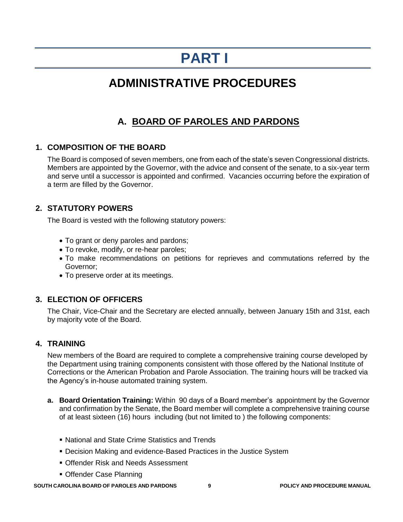## **PART I**

## **ADMINISTRATIVE PROCEDURES**

## **A. BOARD OF PAROLES AND PARDONS**

#### **1. COMPOSITION OF THE BOARD**

The Board is composed of seven members, one from each of the state's seven Congressional districts. Members are appointed by the Governor, with the advice and consent of the senate, to a six-year term and serve until a successor is appointed and confirmed. Vacancies occurring before the expiration of a term are filled by the Governor.

#### **2. STATUTORY POWERS**

The Board is vested with the following statutory powers:

- To grant or deny paroles and pardons;
- To revoke, modify, or re-hear paroles;
- To make recommendations on petitions for reprieves and commutations referred by the Governor;
- To preserve order at its meetings.

#### **3. ELECTION OF OFFICERS**

The Chair, Vice-Chair and the Secretary are elected annually, between January 15th and 31st, each by majority vote of the Board.

#### **4. TRAINING**

New members of the Board are required to complete a comprehensive training course developed by the Department using training components consistent with those offered by the National Institute of Corrections or the American Probation and Parole Association. The training hours will be tracked via the Agency's in-house automated training system.

- **a. Board Orientation Training:** Within 90 days of a Board member's appointment by the Governor and confirmation by the Senate, the Board member will complete a comprehensive training course of at least sixteen (16) hours including (but not limited to ) the following components:
	- National and State Crime Statistics and Trends
	- Decision Making and evidence-Based Practices in the Justice System
	- Offender Risk and Needs Assessment
	- Offender Case Planning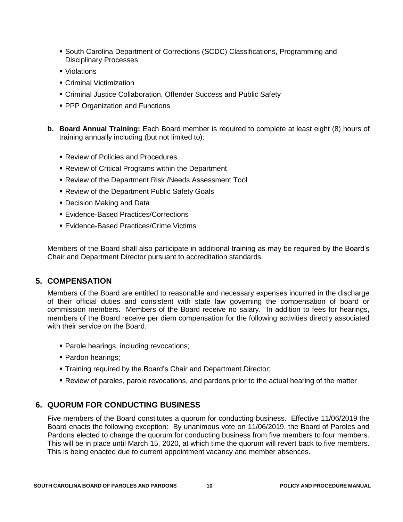- **South Carolina Department of Corrections (SCDC) Classifications, Programming and** Disciplinary Processes
- Violations
- **Criminal Victimization**
- Criminal Justice Collaboration, Offender Success and Public Safety
- **PPP Organization and Functions**
- **b. Board Annual Training:** Each Board member is required to complete at least eight (8) hours of training annually including (but not limited to):
	- Review of Policies and Procedures
	- Review of Critical Programs within the Department
	- Review of the Department Risk /Needs Assessment Tool
	- **Review of the Department Public Safety Goals**
	- **Decision Making and Data**
	- Evidence-Based Practices/Corrections
	- **Evidence-Based Practices/Crime Victims**

Members of the Board shall also participate in additional training as may be required by the Board's Chair and Department Director pursuant to accreditation standards.

#### **5. COMPENSATION**

Members of the Board are entitled to reasonable and necessary expenses incurred in the discharge of their official duties and consistent with state law governing the compensation of board or commission members. Members of the Board receive no salary. In addition to fees for hearings, members of the Board receive per diem compensation for the following activities directly associated with their service on the Board:

- **Parole hearings, including revocations;**
- Pardon hearings;
- **Training required by the Board's Chair and Department Director;**
- Review of paroles, parole revocations, and pardons prior to the actual hearing of the matter

#### **6. QUORUM FOR CONDUCTING BUSINESS**

Five members of the Board constitutes a quorum for conducting business. Effective 11/06/2019 the Board enacts the following exception: By unanimous vote on 11/06/2019, the Board of Paroles and Pardons elected to change the quorum for conducting business from five members to four members. This will be in place until March 15, 2020, at which time the quorum will revert back to five members. This is being enacted due to current appointment vacancy and member absences.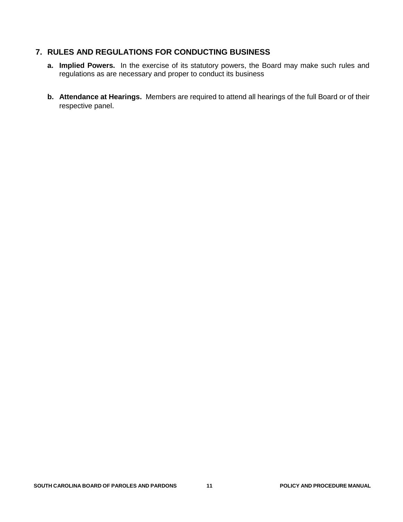#### **7. RULES AND REGULATIONS FOR CONDUCTING BUSINESS**

- **a. Implied Powers.** In the exercise of its statutory powers, the Board may make such rules and regulations as are necessary and proper to conduct its business
- **b. Attendance at Hearings.** Members are required to attend all hearings of the full Board or of their respective panel.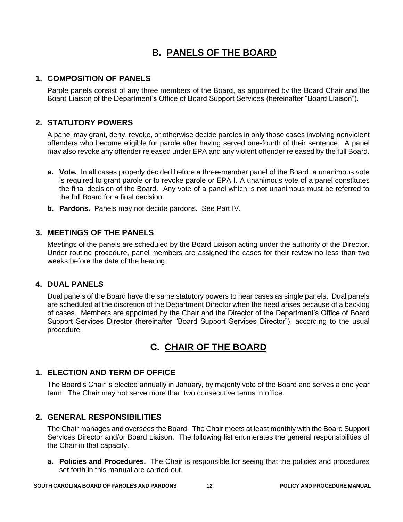## **B. PANELS OF THE BOARD**

#### **1. COMPOSITION OF PANELS**

Parole panels consist of any three members of the Board, as appointed by the Board Chair and the Board Liaison of the Department's Office of Board Support Services (hereinafter "Board Liaison").

#### **2. STATUTORY POWERS**

A panel may grant, deny, revoke, or otherwise decide paroles in only those cases involving nonviolent offenders who become eligible for parole after having served one-fourth of their sentence. A panel may also revoke any offender released under EPA and any violent offender released by the full Board.

- **a. Vote.** In all cases properly decided before a three-member panel of the Board, a unanimous vote is required to grant parole or to revoke parole or EPA I. A unanimous vote of a panel constitutes the final decision of the Board. Any vote of a panel which is not unanimous must be referred to the full Board for a final decision.
- **b.** Pardons. Panels may not decide pardons. See Part IV.

#### **3. MEETINGS OF THE PANELS**

Meetings of the panels are scheduled by the Board Liaison acting under the authority of the Director. Under routine procedure, panel members are assigned the cases for their review no less than two weeks before the date of the hearing.

#### **4. DUAL PANELS**

Dual panels of the Board have the same statutory powers to hear cases as single panels. Dual panels are scheduled at the discretion of the Department Director when the need arises because of a backlog of cases. Members are appointed by the Chair and the Director of the Department's Office of Board Support Services Director (hereinafter "Board Support Services Director"), according to the usual procedure.

## **C. CHAIR OF THE BOARD**

#### **1. ELECTION AND TERM OF OFFICE**

The Board's Chair is elected annually in January, by majority vote of the Board and serves a one year term. The Chair may not serve more than two consecutive terms in office.

#### **2. GENERAL RESPONSIBILITIES**

The Chair manages and oversees the Board. The Chair meets at least monthly with the Board Support Services Director and/or Board Liaison. The following list enumerates the general responsibilities of the Chair in that capacity.

**a. Policies and Procedures.** The Chair is responsible for seeing that the policies and procedures set forth in this manual are carried out.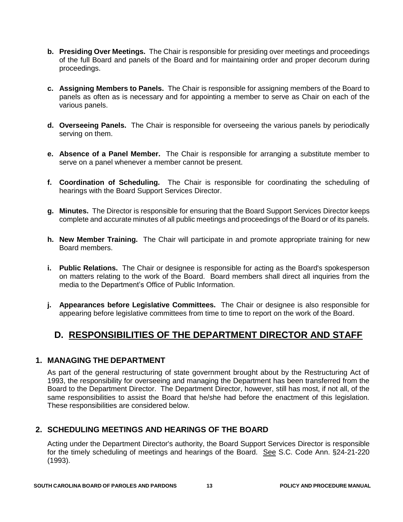- **b. Presiding Over Meetings.** The Chair is responsible for presiding over meetings and proceedings of the full Board and panels of the Board and for maintaining order and proper decorum during proceedings.
- **c. Assigning Members to Panels.** The Chair is responsible for assigning members of the Board to panels as often as is necessary and for appointing a member to serve as Chair on each of the various panels.
- **d. Overseeing Panels.** The Chair is responsible for overseeing the various panels by periodically serving on them.
- **e. Absence of a Panel Member.** The Chair is responsible for arranging a substitute member to serve on a panel whenever a member cannot be present.
- **f. Coordination of Scheduling.** The Chair is responsible for coordinating the scheduling of hearings with the Board Support Services Director.
- **g. Minutes.** The Director is responsible for ensuring that the Board Support Services Director keeps complete and accurate minutes of all public meetings and proceedings of the Board or of its panels.
- **h. New Member Training.** The Chair will participate in and promote appropriate training for new Board members.
- **i. Public Relations.** The Chair or designee is responsible for acting as the Board's spokesperson on matters relating to the work of the Board. Board members shall direct all inquiries from the media to the Department's Office of Public Information.
- **j. Appearances before Legislative Committees.** The Chair or designee is also responsible for appearing before legislative committees from time to time to report on the work of the Board.

## **D. RESPONSIBILITIES OF THE DEPARTMENT DIRECTOR AND STAFF**

#### **1. MANAGING THE DEPARTMENT**

As part of the general restructuring of state government brought about by the Restructuring Act of 1993, the responsibility for overseeing and managing the Department has been transferred from the Board to the Department Director. The Department Director, however, still has most, if not all, of the same responsibilities to assist the Board that he/she had before the enactment of this legislation. These responsibilities are considered below.

#### **2. SCHEDULING MEETINGS AND HEARINGS OF THE BOARD**

Acting under the Department Director's authority, the Board Support Services Director is responsible for the timely scheduling of meetings and hearings of the Board. See S.C. Code Ann. §24-21-220 (1993).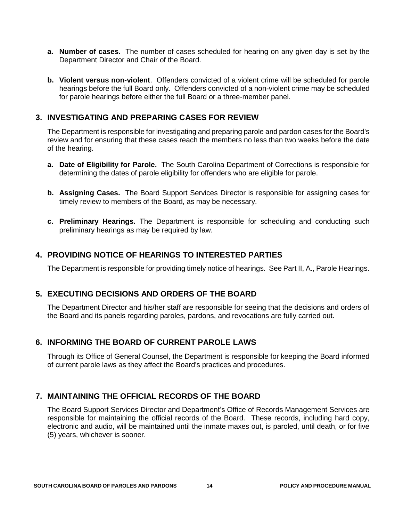- **a. Number of cases.** The number of cases scheduled for hearing on any given day is set by the Department Director and Chair of the Board.
- **b. Violent versus non-violent**. Offenders convicted of a violent crime will be scheduled for parole hearings before the full Board only. Offenders convicted of a non-violent crime may be scheduled for parole hearings before either the full Board or a three-member panel.

#### **3. INVESTIGATING AND PREPARING CASES FOR REVIEW**

The Department is responsible for investigating and preparing parole and pardon cases for the Board's review and for ensuring that these cases reach the members no less than two weeks before the date of the hearing.

- **a. Date of Eligibility for Parole.** The South Carolina Department of Corrections is responsible for determining the dates of parole eligibility for offenders who are eligible for parole.
- **b. Assigning Cases.** The Board Support Services Director is responsible for assigning cases for timely review to members of the Board, as may be necessary.
- **c. Preliminary Hearings.** The Department is responsible for scheduling and conducting such preliminary hearings as may be required by law.

#### **4. PROVIDING NOTICE OF HEARINGS TO INTERESTED PARTIES**

The Department is responsible for providing timely notice of hearings. See Part II, A., Parole Hearings.

#### **5. EXECUTING DECISIONS AND ORDERS OF THE BOARD**

The Department Director and his/her staff are responsible for seeing that the decisions and orders of the Board and its panels regarding paroles, pardons, and revocations are fully carried out.

#### **6. INFORMING THE BOARD OF CURRENT PAROLE LAWS**

Through its Office of General Counsel, the Department is responsible for keeping the Board informed of current parole laws as they affect the Board's practices and procedures.

#### **7. MAINTAINING THE OFFICIAL RECORDS OF THE BOARD**

The Board Support Services Director and Department's Office of Records Management Services are responsible for maintaining the official records of the Board. These records, including hard copy, electronic and audio, will be maintained until the inmate maxes out, is paroled, until death, or for five (5) years, whichever is sooner.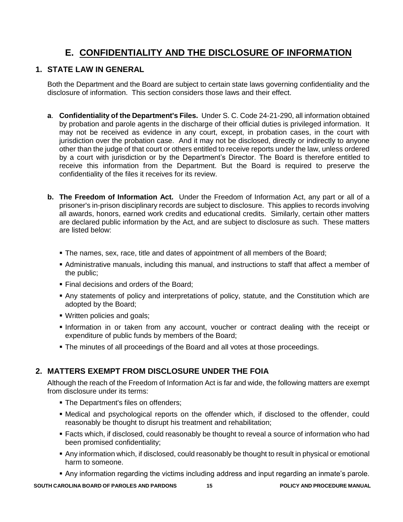### **E. CONFIDENTIALITY AND THE DISCLOSURE OF INFORMATION**

#### **1. STATE LAW IN GENERAL**

Both the Department and the Board are subject to certain state laws governing confidentiality and the disclosure of information. This section considers those laws and their effect.

- **a**. **Confidentiality of the Department's Files.** Under S. C. Code 24-21-290, all information obtained by probation and parole agents in the discharge of their official duties is privileged information. It may not be received as evidence in any court, except, in probation cases, in the court with jurisdiction over the probation case. And it may not be disclosed, directly or indirectly to anyone other than the judge of that court or others entitled to receive reports under the law, unless ordered by a court with jurisdiction or by the Department's Director. The Board is therefore entitled to receive this information from the Department. But the Board is required to preserve the confidentiality of the files it receives for its review.
- **b. The Freedom of Information Act.** Under the Freedom of Information Act, any part or all of a prisoner's in-prison disciplinary records are subject to disclosure. This applies to records involving all awards, honors, earned work credits and educational credits. Similarly, certain other matters are declared public information by the Act, and are subject to disclosure as such. These matters are listed below:
	- The names, sex, race, title and dates of appointment of all members of the Board;
	- Administrative manuals, including this manual, and instructions to staff that affect a member of the public;
	- **Final decisions and orders of the Board;**
	- Any statements of policy and interpretations of policy, statute, and the Constitution which are adopted by the Board;
	- Written policies and goals;
	- Information in or taken from any account, voucher or contract dealing with the receipt or expenditure of public funds by members of the Board;
	- The minutes of all proceedings of the Board and all votes at those proceedings.

#### **2. MATTERS EXEMPT FROM DISCLOSURE UNDER THE FOIA**

Although the reach of the Freedom of Information Act is far and wide, the following matters are exempt from disclosure under its terms:

- The Department's files on offenders;
- Medical and psychological reports on the offender which, if disclosed to the offender, could reasonably be thought to disrupt his treatment and rehabilitation;
- Facts which, if disclosed, could reasonably be thought to reveal a source of information who had been promised confidentiality;
- Any information which, if disclosed, could reasonably be thought to result in physical or emotional harm to someone.
- Any information regarding the victims including address and input regarding an inmate's parole.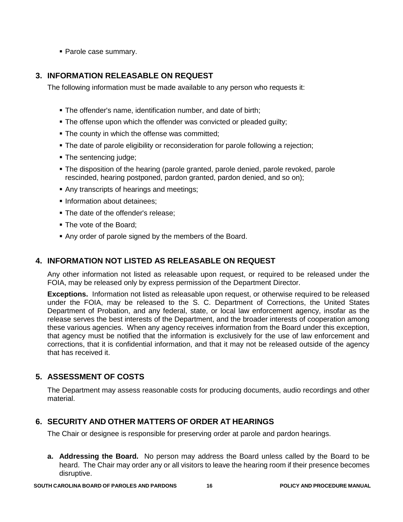Parole case summary.

#### **3. INFORMATION RELEASABLE ON REQUEST**

The following information must be made available to any person who requests it:

- The offender's name, identification number, and date of birth;
- **The offense upon which the offender was convicted or pleaded guilty;**
- **The county in which the offense was committed;**
- The date of parole eligibility or reconsideration for parole following a rejection;
- The sentencing judge;
- The disposition of the hearing (parole granted, parole denied, parole revoked, parole rescinded, hearing postponed, pardon granted, pardon denied, and so on);
- Any transcripts of hearings and meetings;
- **Information about detainees:**
- The date of the offender's release:
- The vote of the Board;
- Any order of parole signed by the members of the Board.

#### **4. INFORMATION NOT LISTED AS RELEASABLE ON REQUEST**

Any other information not listed as releasable upon request, or required to be released under the FOIA, may be released only by express permission of the Department Director.

**Exceptions.** Information not listed as releasable upon request, or otherwise required to be released under the FOIA, may be released to the S. C. Department of Corrections, the United States Department of Probation, and any federal, state, or local law enforcement agency, insofar as the release serves the best interests of the Department, and the broader interests of cooperation among these various agencies. When any agency receives information from the Board under this exception, that agency must be notified that the information is exclusively for the use of law enforcement and corrections, that it is confidential information, and that it may not be released outside of the agency that has received it.

#### **5. ASSESSMENT OF COSTS**

The Department may assess reasonable costs for producing documents, audio recordings and other material.

#### **6. SECURITY AND OTHER MATTERS OF ORDER AT HEARINGS**

The Chair or designee is responsible for preserving order at parole and pardon hearings.

**a. Addressing the Board.** No person may address the Board unless called by the Board to be heard. The Chair may order any or all visitors to leave the hearing room if their presence becomes disruptive.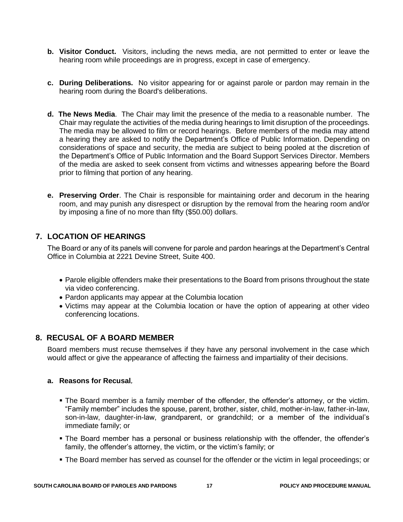- **b. Visitor Conduct.** Visitors, including the news media, are not permitted to enter or leave the hearing room while proceedings are in progress, except in case of emergency.
- **c. During Deliberations.** No visitor appearing for or against parole or pardon may remain in the hearing room during the Board's deliberations.
- **d. The News Media**. The Chair may limit the presence of the media to a reasonable number. The Chair may regulate the activities of the media during hearings to limit disruption of the proceedings. The media may be allowed to film or record hearings. Before members of the media may attend a hearing they are asked to notify the Department's Office of Public Information. Depending on considerations of space and security, the media are subject to being pooled at the discretion of the Department's Office of Public Information and the Board Support Services Director. Members of the media are asked to seek consent from victims and witnesses appearing before the Board prior to filming that portion of any hearing.
- **e. Preserving Order**. The Chair is responsible for maintaining order and decorum in the hearing room, and may punish any disrespect or disruption by the removal from the hearing room and/or by imposing a fine of no more than fifty (\$50.00) dollars.

#### **7. LOCATION OF HEARINGS**

The Board or any of its panels will convene for parole and pardon hearings at the Department's Central Office in Columbia at 2221 Devine Street, Suite 400.

- Parole eligible offenders make their presentations to the Board from prisons throughout the state via video conferencing.
- Pardon applicants may appear at the Columbia location
- Victims may appear at the Columbia location or have the option of appearing at other video conferencing locations.

#### **8. RECUSAL OF A BOARD MEMBER**

Board members must recuse themselves if they have any personal involvement in the case which would affect or give the appearance of affecting the fairness and impartiality of their decisions.

#### **a. Reasons for Recusal.**

- The Board member is a family member of the offender, the offender's attorney, or the victim. "Family member" includes the spouse, parent, brother, sister, child, mother-in-law, father-in-law, son-in-law, daughter-in-law, grandparent, or grandchild; or a member of the individual's immediate family; or
- The Board member has a personal or business relationship with the offender, the offender's family, the offender's attorney, the victim, or the victim's family; or
- The Board member has served as counsel for the offender or the victim in legal proceedings; or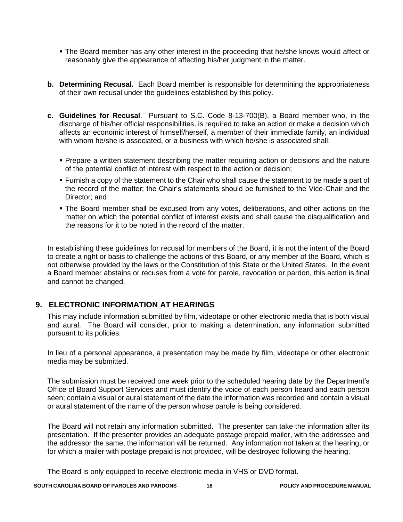- The Board member has any other interest in the proceeding that he/she knows would affect or reasonably give the appearance of affecting his/her judgment in the matter.
- **b. Determining Recusal.** Each Board member is responsible for determining the appropriateness of their own recusal under the guidelines established by this policy.
- **c. Guidelines for Recusal**. Pursuant to S.C. Code 8-13-700(B), a Board member who, in the discharge of his/her official responsibilities, is required to take an action or make a decision which affects an economic interest of himself/herself, a member of their immediate family, an individual with whom he/she is associated, or a business with which he/she is associated shall:
	- **Prepare a written statement describing the matter requiring action or decisions and the nature** of the potential conflict of interest with respect to the action or decision;
	- Furnish a copy of the statement to the Chair who shall cause the statement to be made a part of the record of the matter; the Chair's statements should be furnished to the Vice-Chair and the Director; and
	- The Board member shall be excused from any votes, deliberations, and other actions on the matter on which the potential conflict of interest exists and shall cause the disqualification and the reasons for it to be noted in the record of the matter.

In establishing these guidelines for recusal for members of the Board, it is not the intent of the Board to create a right or basis to challenge the actions of this Board, or any member of the Board, which is not otherwise provided by the laws or the Constitution of this State or the United States. In the event a Board member abstains or recuses from a vote for parole, revocation or pardon, this action is final and cannot be changed.

#### **9. ELECTRONIC INFORMATION AT HEARINGS**

This may include information submitted by film, videotape or other electronic media that is both visual and aural. The Board will consider, prior to making a determination, any information submitted pursuant to its policies.

In lieu of a personal appearance, a presentation may be made by film, videotape or other electronic media may be submitted.

The submission must be received one week prior to the scheduled hearing date by the Department's Office of Board Support Services and must identify the voice of each person heard and each person seen; contain a visual or aural statement of the date the information was recorded and contain a visual or aural statement of the name of the person whose parole is being considered.

The Board will not retain any information submitted. The presenter can take the information after its presentation. If the presenter provides an adequate postage prepaid mailer, with the addressee and the addressor the same, the information will be returned. Any information not taken at the hearing, or for which a mailer with postage prepaid is not provided, will be destroyed following the hearing.

The Board is only equipped to receive electronic media in VHS or DVD format.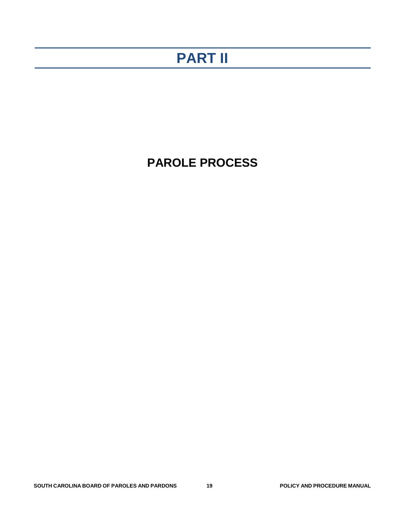# **PART II**

## **PAROLE PROCESS**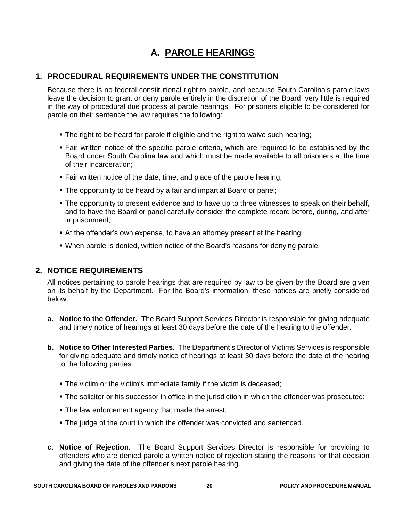## **A. PAROLE HEARINGS**

#### **1. PROCEDURAL REQUIREMENTS UNDER THE CONSTITUTION**

Because there is no federal constitutional right to parole, and because South Carolina's parole laws leave the decision to grant or deny parole entirely in the discretion of the Board, very little is required in the way of procedural due process at parole hearings. For prisoners eligible to be considered for parole on their sentence the law requires the following:

- The right to be heard for parole if eligible and the right to waive such hearing;
- Fair written notice of the specific parole criteria, which are required to be established by the Board under South Carolina law and which must be made available to all prisoners at the time of their incarceration;
- Fair written notice of the date, time, and place of the parole hearing;
- The opportunity to be heard by a fair and impartial Board or panel;
- The opportunity to present evidence and to have up to three witnesses to speak on their behalf, and to have the Board or panel carefully consider the complete record before, during, and after imprisonment;
- At the offender's own expense, to have an attorney present at the hearing;
- When parole is denied, written notice of the Board's reasons for denying parole.

#### **2. NOTICE REQUIREMENTS**

All notices pertaining to parole hearings that are required by law to be given by the Board are given on its behalf by the Department. For the Board's information, these notices are briefly considered below.

- **a. Notice to the Offender.** The Board Support Services Director is responsible for giving adequate and timely notice of hearings at least 30 days before the date of the hearing to the offender.
- **b. Notice to Other Interested Parties.** The Department's Director of Victims Services is responsible for giving adequate and timely notice of hearings at least 30 days before the date of the hearing to the following parties:
	- The victim or the victim's immediate family if the victim is deceased;
	- The solicitor or his successor in office in the jurisdiction in which the offender was prosecuted;
	- **The law enforcement agency that made the arrest;**
	- The judge of the court in which the offender was convicted and sentenced.
- **c. Notice of Rejection.** The Board Support Services Director is responsible for providing to offenders who are denied parole a written notice of rejection stating the reasons for that decision and giving the date of the offender's next parole hearing.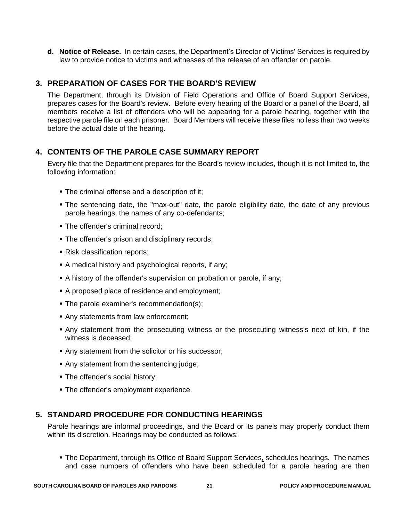**d. Notice of Release.** In certain cases, the Department's Director of Victims' Services is required by law to provide notice to victims and witnesses of the release of an offender on parole.

#### **3. PREPARATION OF CASES FOR THE BOARD'S REVIEW**

The Department, through its Division of Field Operations and Office of Board Support Services, prepares cases for the Board's review. Before every hearing of the Board or a panel of the Board, all members receive a list of offenders who will be appearing for a parole hearing, together with the respective parole file on each prisoner. Board Members will receive these files no less than two weeks before the actual date of the hearing.

#### **4. CONTENTS OF THE PAROLE CASE SUMMARY REPORT**

Every file that the Department prepares for the Board's review includes, though it is not limited to, the following information:

- **The criminal offense and a description of it;**
- The sentencing date, the "max-out" date, the parole eligibility date, the date of any previous parole hearings, the names of any co-defendants;
- The offender's criminal record;
- **The offender's prison and disciplinary records;**
- Risk classification reports;
- A medical history and psychological reports, if any;
- A history of the offender's supervision on probation or parole, if any;
- A proposed place of residence and employment;
- The parole examiner's recommendation(s);
- Any statements from law enforcement;
- Any statement from the prosecuting witness or the prosecuting witness's next of kin, if the witness is deceased;
- Any statement from the solicitor or his successor;
- Any statement from the sentencing judge;
- The offender's social history;
- **The offender's employment experience.**

#### **5. STANDARD PROCEDURE FOR CONDUCTING HEARINGS**

Parole hearings are informal proceedings, and the Board or its panels may properly conduct them within its discretion. Hearings may be conducted as follows:

• The Department, through its Office of Board Support Services, schedules hearings. The names and case numbers of offenders who have been scheduled for a parole hearing are then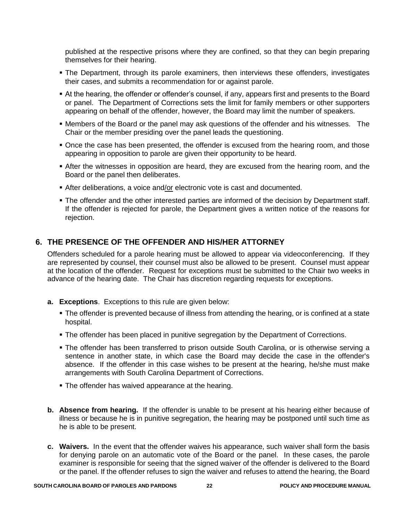published at the respective prisons where they are confined, so that they can begin preparing themselves for their hearing.

- The Department, through its parole examiners, then interviews these offenders, investigates their cases, and submits a recommendation for or against parole.
- At the hearing, the offender or offender's counsel, if any, appears first and presents to the Board or panel. The Department of Corrections sets the limit for family members or other supporters appearing on behalf of the offender, however, the Board may limit the number of speakers.
- Members of the Board or the panel may ask questions of the offender and his witnesses. The Chair or the member presiding over the panel leads the questioning.
- Once the case has been presented, the offender is excused from the hearing room, and those appearing in opposition to parole are given their opportunity to be heard.
- After the witnesses in opposition are heard, they are excused from the hearing room, and the Board or the panel then deliberates.
- After deliberations, a voice and/or electronic vote is cast and documented.
- The offender and the other interested parties are informed of the decision by Department staff. If the offender is rejected for parole, the Department gives a written notice of the reasons for rejection.

#### **6. THE PRESENCE OF THE OFFENDER AND HIS/HER ATTORNEY**

Offenders scheduled for a parole hearing must be allowed to appear via videoconferencing. If they are represented by counsel, their counsel must also be allowed to be present. Counsel must appear at the location of the offender. Request for exceptions must be submitted to the Chair two weeks in advance of the hearing date. The Chair has discretion regarding requests for exceptions.

- **a. Exceptions**. Exceptions to this rule are given below:
	- The offender is prevented because of illness from attending the hearing, or is confined at a state hospital.
	- The offender has been placed in punitive segregation by the Department of Corrections.
	- The offender has been transferred to prison outside South Carolina, or is otherwise serving a sentence in another state, in which case the Board may decide the case in the offender's absence. If the offender in this case wishes to be present at the hearing, he/she must make arrangements with South Carolina Department of Corrections.
	- **The offender has waived appearance at the hearing.**
- **b. Absence from hearing.** If the offender is unable to be present at his hearing either because of illness or because he is in punitive segregation, the hearing may be postponed until such time as he is able to be present.
- **c. Waivers.** In the event that the offender waives his appearance, such waiver shall form the basis for denying parole on an automatic vote of the Board or the panel. In these cases, the parole examiner is responsible for seeing that the signed waiver of the offender is delivered to the Board or the panel. If the offender refuses to sign the waiver and refuses to attend the hearing, the Board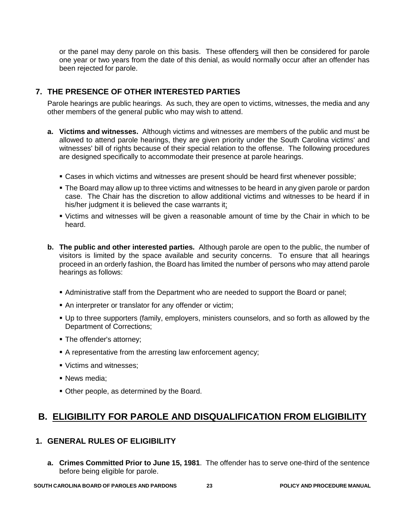or the panel may deny parole on this basis. These offenders will then be considered for parole one year or two years from the date of this denial, as would normally occur after an offender has been rejected for parole.

#### **7. THE PRESENCE OF OTHER INTERESTED PARTIES**

Parole hearings are public hearings. As such, they are open to victims, witnesses, the media and any other members of the general public who may wish to attend.

- **a. Victims and witnesses.** Although victims and witnesses are members of the public and must be allowed to attend parole hearings, they are given priority under the South Carolina victims' and witnesses' bill of rights because of their special relation to the offense. The following procedures are designed specifically to accommodate their presence at parole hearings.
	- Cases in which victims and witnesses are present should be heard first whenever possible;
	- The Board may allow up to three victims and witnesses to be heard in any given parole or pardon case. The Chair has the discretion to allow additional victims and witnesses to be heard if in his/her judgment it is believed the case warrants it;
	- Victims and witnesses will be given a reasonable amount of time by the Chair in which to be heard.
- **b. The public and other interested parties.** Although parole are open to the public, the number of visitors is limited by the space available and security concerns. To ensure that all hearings proceed in an orderly fashion, the Board has limited the number of persons who may attend parole hearings as follows:
	- Administrative staff from the Department who are needed to support the Board or panel;
	- An interpreter or translator for any offender or victim;
	- Up to three supporters (family, employers, ministers counselors, and so forth as allowed by the Department of Corrections;
	- The offender's attorney:
	- A representative from the arresting law enforcement agency;
	- Victims and witnesses;
	- News media:
	- Other people, as determined by the Board.

### **B. ELIGIBILITY FOR PAROLE AND DISQUALIFICATION FROM ELIGIBILITY**

#### **1. GENERAL RULES OF ELIGIBILITY**

**a. Crimes Committed Prior to June 15, 1981**. The offender has to serve one-third of the sentence before being eligible for parole.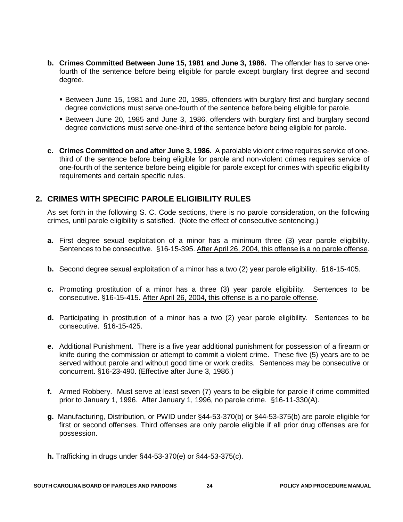- **b. Crimes Committed Between June 15, 1981 and June 3, 1986.** The offender has to serve onefourth of the sentence before being eligible for parole except burglary first degree and second degree.
	- Between June 15, 1981 and June 20, 1985, offenders with burglary first and burglary second degree convictions must serve one-fourth of the sentence before being eligible for parole.
	- Between June 20, 1985 and June 3, 1986, offenders with burglary first and burglary second degree convictions must serve one-third of the sentence before being eligible for parole.
- **c. Crimes Committed on and after June 3, 1986.** A parolable violent crime requires service of onethird of the sentence before being eligible for parole and non-violent crimes requires service of one-fourth of the sentence before being eligible for parole except for crimes with specific eligibility requirements and certain specific rules.

#### **2. CRIMES WITH SPECIFIC PAROLE ELIGIBILITY RULES**

As set forth in the following S. C. Code sections, there is no parole consideration, on the following crimes, until parole eligibility is satisfied. (Note the effect of consecutive sentencing.)

- **a.** First degree sexual exploitation of a minor has a minimum three (3) year parole eligibility. Sentences to be consecutive. §16-15-395. After April 26, 2004, this offense is a no parole offense.
- **b.** Second degree sexual exploitation of a minor has a two (2) year parole eligibility. §16-15-405.
- **c.** Promoting prostitution of a minor has a three (3) year parole eligibility. Sentences to be consecutive. §16-15-415. After April 26, 2004, this offense is a no parole offense.
- **d.** Participating in prostitution of a minor has a two (2) year parole eligibility. Sentences to be consecutive. §16-15-425.
- **e.** Additional Punishment. There is a five year additional punishment for possession of a firearm or knife during the commission or attempt to commit a violent crime. These five (5) years are to be served without parole and without good time or work credits. Sentences may be consecutive or concurrent. §16-23-490. (Effective after June 3, 1986.)
- **f.** Armed Robbery. Must serve at least seven (7) years to be eligible for parole if crime committed prior to January 1, 1996. After January 1, 1996, no parole crime. §16-11-330(A).
- **g.** Manufacturing, Distribution, or PWID under §44-53-370(b) or §44-53-375(b) are parole eligible for first or second offenses. Third offenses are only parole eligible if all prior drug offenses are for possession.
- **h.** Trafficking in drugs under §44-53-370(e) or §44-53-375(c).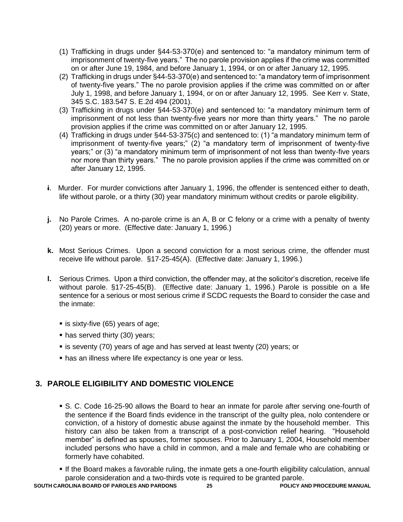- (1) Trafficking in drugs under §44-53-370(e) and sentenced to: "a mandatory minimum term of imprisonment of twenty-five years." The no parole provision applies if the crime was committed on or after June 19, 1984, and before January 1, 1994, or on or after January 12, 1995.
- (2) Trafficking in drugs under §44-53-370(e) and sentenced to: "a mandatory term of imprisonment of twenty-five years." The no parole provision applies if the crime was committed on or after July 1, 1998, and before January 1, 1994, or on or after January 12, 1995. See Kerr v. State, 345 S.C. 183.547 S. E.2d 494 (2001).
- (3) Trafficking in drugs under §44-53-370(e) and sentenced to: "a mandatory minimum term of imprisonment of not less than twenty-five years nor more than thirty years." The no parole provision applies if the crime was committed on or after January 12, 1995.
- (4) Trafficking in drugs under §44-53-375(c) and sentenced to: (1) "a mandatory minimum term of imprisonment of twenty-five years;" (2) "a mandatory term of imprisonment of twenty-five years;" or (3) "a mandatory minimum term of imprisonment of not less than twenty-five years nor more than thirty years." The no parole provision applies if the crime was committed on or after January 12, 1995.
- **i**. Murder. For murder convictions after January 1, 1996, the offender is sentenced either to death, life without parole, or a thirty (30) year mandatory minimum without credits or parole eligibility.
- **j.** No Parole Crimes. A no-parole crime is an A, B or C felony or a crime with a penalty of twenty (20) years or more. (Effective date: January 1, 1996.)
- **k.** Most Serious Crimes. Upon a second conviction for a most serious crime, the offender must receive life without parole. §17-25-45(A). (Effective date: January 1, 1996.)
- **l.** Serious Crimes. Upon a third conviction, the offender may, at the solicitor's discretion, receive life without parole. §17-25-45(B). (Effective date: January 1, 1996.) Parole is possible on a life sentence for a serious or most serious crime if SCDC requests the Board to consider the case and the inmate:
	- $\blacksquare$  is sixty-five (65) years of age;
	- has served thirty (30) years;
	- is seventy (70) years of age and has served at least twenty (20) years; or
	- **has an illness where life expectancy is one year or less.**

#### **3. PAROLE ELIGIBILITY AND DOMESTIC VIOLENCE**

- S. C. Code 16-25-90 allows the Board to hear an inmate for parole after serving one-fourth of the sentence if the Board finds evidence in the transcript of the guilty plea, nolo contendere or conviction, of a history of domestic abuse against the inmate by the household member. This history can also be taken from a transcript of a post-conviction relief hearing. "Household member" is defined as spouses, former spouses. Prior to January 1, 2004, Household member included persons who have a child in common, and a male and female who are cohabiting or formerly have cohabited.
- If the Board makes a favorable ruling, the inmate gets a one-fourth eligibility calculation, annual parole consideration and a two-thirds vote is required to be granted parole.

**SOUTH CAROLINA BOARD OF PAROLES AND PARDONS 25 POLICY AND PROCEDURE MANUAL**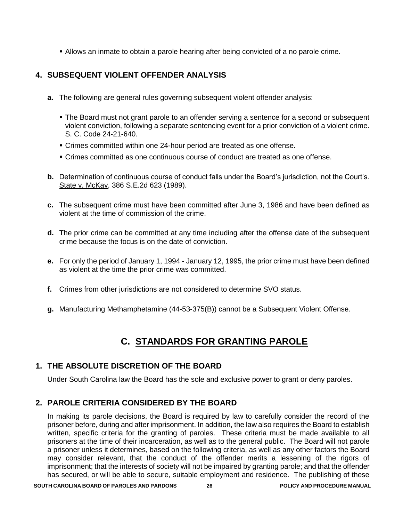Allows an inmate to obtain a parole hearing after being convicted of a no parole crime.

#### **4. SUBSEQUENT VIOLENT OFFENDER ANALYSIS**

- **a.** The following are general rules governing subsequent violent offender analysis:
	- The Board must not grant parole to an offender serving a sentence for a second or subsequent violent conviction, following a separate sentencing event for a prior conviction of a violent crime. S. C. Code 24-21-640.
	- Crimes committed within one 24-hour period are treated as one offense.
	- Crimes committed as one continuous course of conduct are treated as one offense.
- **b.** Determination of continuous course of conduct falls under the Board's jurisdiction, not the Court's. State v. McKay, 386 S.E.2d 623 (1989).
- **c.** The subsequent crime must have been committed after June 3, 1986 and have been defined as violent at the time of commission of the crime.
- **d.** The prior crime can be committed at any time including after the offense date of the subsequent crime because the focus is on the date of conviction.
- **e.** For only the period of January 1, 1994 January 12, 1995, the prior crime must have been defined as violent at the time the prior crime was committed.
- **f.** Crimes from other jurisdictions are not considered to determine SVO status.
- **g.** Manufacturing Methamphetamine (44-53-375(B)) cannot be a Subsequent Violent Offense.

## **C. STANDARDS FOR GRANTING PAROLE**

#### **1.** T**HE ABSOLUTE DISCRETION OF THE BOARD**

Under South Carolina law the Board has the sole and exclusive power to grant or deny paroles.

#### **2. PAROLE CRITERIA CONSIDERED BY THE BOARD**

In making its parole decisions, the Board is required by law to carefully consider the record of the prisoner before, during and after imprisonment. In addition, the law also requires the Board to establish written, specific criteria for the granting of paroles. These criteria must be made available to all prisoners at the time of their incarceration, as well as to the general public. The Board will not parole a prisoner unless it determines, based on the following criteria, as well as any other factors the Board may consider relevant, that the conduct of the offender merits a lessening of the rigors of imprisonment; that the interests of society will not be impaired by granting parole; and that the offender has secured, or will be able to secure, suitable employment and residence. The publishing of these

**SOUTH CAROLINA BOARD OF PAROLES AND PARDONS 26 POLICY AND PROCEDURE MANUAL**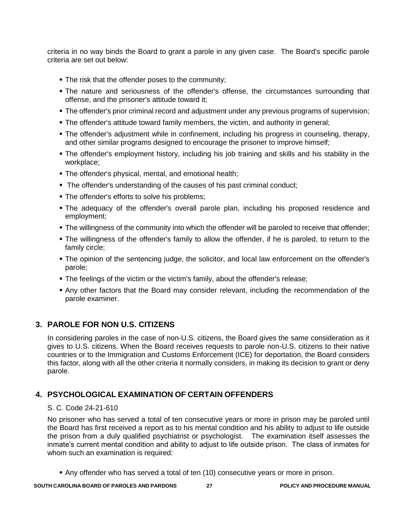criteria in no way binds the Board to grant a parole in any given case. The Board's specific parole criteria are set out below:

- **The risk that the offender poses to the community;**
- The nature and seriousness of the offender's offense, the circumstances surrounding that offense, and the prisoner's attitude toward it;
- The offender's prior criminal record and adjustment under any previous programs of supervision;
- The offender's attitude toward family members, the victim, and authority in general;
- The offender's adjustment while in confinement, including his progress in counseling, therapy, and other similar programs designed to encourage the prisoner to improve himself;
- The offender's employment history, including his job training and skills and his stability in the workplace;
- **The offender's physical, mental, and emotional health;**
- The offender's understanding of the causes of his past criminal conduct;
- **The offender's efforts to solve his problems:**
- The adequacy of the offender's overall parole plan, including his proposed residence and employment;
- The willingness of the community into which the offender will be paroled to receive that offender;
- The willingness of the offender's family to allow the offender, if he is paroled, to return to the family circle;
- The opinion of the sentencing judge, the solicitor, and local law enforcement on the offender's parole;
- The feelings of the victim or the victim's family, about the offender's release;
- Any other factors that the Board may consider relevant, including the recommendation of the parole examiner.

#### **3. PAROLE FOR NON U.S. CITIZENS**

In considering paroles in the case of non-U.S. citizens, the Board gives the same consideration as it gives to U.S. citizens. When the Board receives requests to parole non-U.S. citizens to their native countries or to the Immigration and Customs Enforcement (ICE) for deportation, the Board considers this factor, along with all the other criteria it normally considers, in making its decision to grant or deny parole.

#### **4. PSYCHOLOGICAL EXAMINATION OF CERTAIN OFFENDERS**

#### S. C. Code 24-21-610

No prisoner who has served a total of ten consecutive years or more in prison may be paroled until the Board has first received a report as to his mental condition and his ability to adjust to life outside the prison from a duly qualified psychiatrist or psychologist. The examination itself assesses the inmate's current mental condition and ability to adjust to life outside prison. The class of inmates for whom such an examination is required:

Any offender who has served a total of ten (10) consecutive years or more in prison.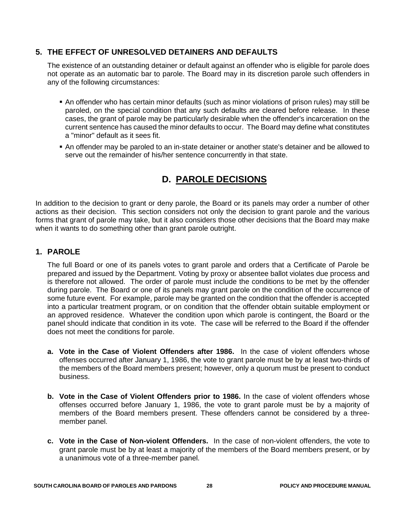#### **5. THE EFFECT OF UNRESOLVED DETAINERS AND DEFAULTS**

The existence of an outstanding detainer or default against an offender who is eligible for parole does not operate as an automatic bar to parole. The Board may in its discretion parole such offenders in any of the following circumstances:

- An offender who has certain minor defaults (such as minor violations of prison rules) may still be paroled, on the special condition that any such defaults are cleared before release. In these cases, the grant of parole may be particularly desirable when the offender's incarceration on the current sentence has caused the minor defaults to occur. The Board may define what constitutes a "minor" default as it sees fit.
- An offender may be paroled to an in-state detainer or another state's detainer and be allowed to serve out the remainder of his/her sentence concurrently in that state.

## **D. PAROLE DECISIONS**

In addition to the decision to grant or deny parole, the Board or its panels may order a number of other actions as their decision. This section considers not only the decision to grant parole and the various forms that grant of parole may take, but it also considers those other decisions that the Board may make when it wants to do something other than grant parole outright.

#### **1. PAROLE**

The full Board or one of its panels votes to grant parole and orders that a Certificate of Parole be prepared and issued by the Department. Voting by proxy or absentee ballot violates due process and is therefore not allowed. The order of parole must include the conditions to be met by the offender during parole. The Board or one of its panels may grant parole on the condition of the occurrence of some future event. For example, parole may be granted on the condition that the offender is accepted into a particular treatment program, or on condition that the offender obtain suitable employment or an approved residence. Whatever the condition upon which parole is contingent, the Board or the panel should indicate that condition in its vote. The case will be referred to the Board if the offender does not meet the conditions for parole.

- **a. Vote in the Case of Violent Offenders after 1986.** In the case of violent offenders whose offenses occurred after January 1, 1986, the vote to grant parole must be by at least two-thirds of the members of the Board members present; however, only a quorum must be present to conduct business.
- **b. Vote in the Case of Violent Offenders prior to 1986.** In the case of violent offenders whose offenses occurred before January 1, 1986, the vote to grant parole must be by a majority of members of the Board members present. These offenders cannot be considered by a threemember panel.
- **c. Vote in the Case of Non-violent Offenders.** In the case of non-violent offenders, the vote to grant parole must be by at least a majority of the members of the Board members present, or by a unanimous vote of a three-member panel.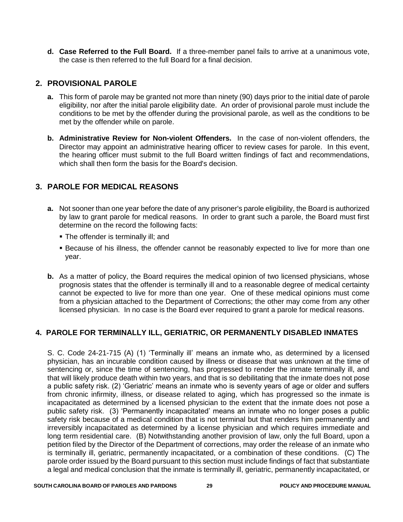**d. Case Referred to the Full Board.** If a three-member panel fails to arrive at a unanimous vote, the case is then referred to the full Board for a final decision.

#### **2. PROVISIONAL PAROLE**

- **a.** This form of parole may be granted not more than ninety (90) days prior to the initial date of parole eligibility, nor after the initial parole eligibility date. An order of provisional parole must include the conditions to be met by the offender during the provisional parole, as well as the conditions to be met by the offender while on parole.
- **b. Administrative Review for Non-violent Offenders.** In the case of non-violent offenders, the Director may appoint an administrative hearing officer to review cases for parole. In this event, the hearing officer must submit to the full Board written findings of fact and recommendations, which shall then form the basis for the Board's decision.

#### **3. PAROLE FOR MEDICAL REASONS**

- **a.** Not sooner than one year before the date of any prisoner's parole eligibility, the Board is authorized by law to grant parole for medical reasons. In order to grant such a parole, the Board must first determine on the record the following facts:
	- The offender is terminally ill: and
	- Because of his illness, the offender cannot be reasonably expected to live for more than one year.
- **b.** As a matter of policy, the Board requires the medical opinion of two licensed physicians, whose prognosis states that the offender is terminally ill and to a reasonable degree of medical certainty cannot be expected to live for more than one year. One of these medical opinions must come from a physician attached to the Department of Corrections; the other may come from any other licensed physician. In no case is the Board ever required to grant a parole for medical reasons.

#### **4. PAROLE FOR TERMINALLY ILL, GERIATRIC, OR PERMANENTLY DISABLED INMATES**

S. C. Code 24-21-715 (A) (1) 'Terminally ill' means an inmate who, as determined by a licensed physician, has an incurable condition caused by illness or disease that was unknown at the time of sentencing or, since the time of sentencing, has progressed to render the inmate terminally ill, and that will likely produce death within two years, and that is so debilitating that the inmate does not pose a public safety risk. (2) 'Geriatric' means an inmate who is seventy years of age or older and suffers from chronic infirmity, illness, or disease related to aging, which has progressed so the inmate is incapacitated as determined by a licensed physician to the extent that the inmate does not pose a public safety risk. (3) 'Permanently incapacitated' means an inmate who no longer poses a public safety risk because of a medical condition that is not terminal but that renders him permanently and irreversibly incapacitated as determined by a license physician and which requires immediate and long term residential care. (B) Notwithstanding another provision of law, only the full Board, upon a petition filed by the Director of the Department of corrections, may order the release of an inmate who is terminally ill, geriatric, permanently incapacitated, or a combination of these conditions. (C) The parole order issued by the Board pursuant to this section must include findings of fact that substantiate a legal and medical conclusion that the inmate is terminally ill, geriatric, permanently incapacitated, or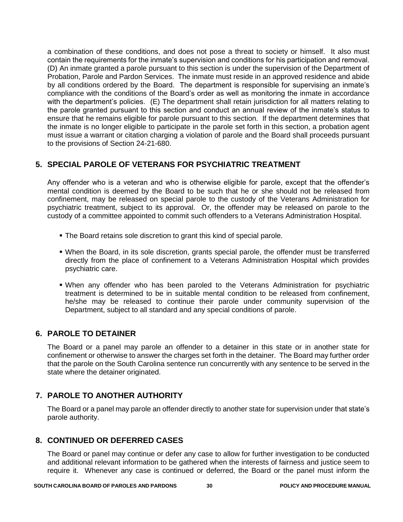a combination of these conditions, and does not pose a threat to society or himself. It also must contain the requirements for the inmate's supervision and conditions for his participation and removal. (D) An inmate granted a parole pursuant to this section is under the supervision of the Department of Probation, Parole and Pardon Services. The inmate must reside in an approved residence and abide by all conditions ordered by the Board. The department is responsible for supervising an inmate's compliance with the conditions of the Board's order as well as monitoring the inmate in accordance with the department's policies. (E) The department shall retain jurisdiction for all matters relating to the parole granted pursuant to this section and conduct an annual review of the inmate's status to ensure that he remains eligible for parole pursuant to this section. If the department determines that the inmate is no longer eligible to participate in the parole set forth in this section, a probation agent must issue a warrant or citation charging a violation of parole and the Board shall proceeds pursuant to the provisions of Section 24-21-680.

#### **5. SPECIAL PAROLE OF VETERANS FOR PSYCHIATRIC TREATMENT**

Any offender who is a veteran and who is otherwise eligible for parole, except that the offender's mental condition is deemed by the Board to be such that he or she should not be released from confinement, may be released on special parole to the custody of the Veterans Administration for psychiatric treatment, subject to its approval. Or, the offender may be released on parole to the custody of a committee appointed to commit such offenders to a Veterans Administration Hospital.

- **The Board retains sole discretion to grant this kind of special parole.**
- When the Board, in its sole discretion, grants special parole, the offender must be transferred directly from the place of confinement to a Veterans Administration Hospital which provides psychiatric care.
- When any offender who has been paroled to the Veterans Administration for psychiatric treatment is determined to be in suitable mental condition to be released from confinement, he/she may be released to continue their parole under community supervision of the Department, subject to all standard and any special conditions of parole.

#### **6. PAROLE TO DETAINER**

The Board or a panel may parole an offender to a detainer in this state or in another state for confinement or otherwise to answer the charges set forth in the detainer. The Board may further order that the parole on the South Carolina sentence run concurrently with any sentence to be served in the state where the detainer originated.

#### **7. PAROLE TO ANOTHER AUTHORITY**

The Board or a panel may parole an offender directly to another state for supervision under that state's parole authority.

#### **8. CONTINUED OR DEFERRED CASES**

The Board or panel may continue or defer any case to allow for further investigation to be conducted and additional relevant information to be gathered when the interests of fairness and justice seem to require it. Whenever any case is continued or deferred, the Board or the panel must inform the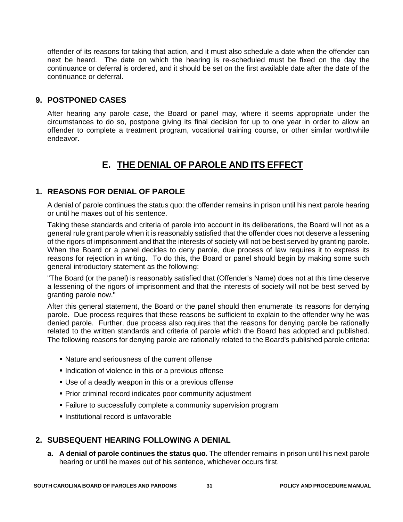offender of its reasons for taking that action, and it must also schedule a date when the offender can next be heard. The date on which the hearing is re-scheduled must be fixed on the day the continuance or deferral is ordered, and it should be set on the first available date after the date of the continuance or deferral.

#### **9. POSTPONED CASES**

After hearing any parole case, the Board or panel may, where it seems appropriate under the circumstances to do so, postpone giving its final decision for up to one year in order to allow an offender to complete a treatment program, vocational training course, or other similar worthwhile endeavor.

## **E. THE DENIAL OF PAROLE AND ITS EFFECT**

#### **1. REASONS FOR DENIAL OF PAROLE**

A denial of parole continues the status quo: the offender remains in prison until his next parole hearing or until he maxes out of his sentence.

Taking these standards and criteria of parole into account in its deliberations, the Board will not as a general rule grant parole when it is reasonably satisfied that the offender does not deserve a lessening of the rigors of imprisonment and that the interests of society will not be best served by granting parole. When the Board or a panel decides to deny parole, due process of law requires it to express its reasons for rejection in writing. To do this, the Board or panel should begin by making some such general introductory statement as the following:

"The Board (or the panel) is reasonably satisfied that (Offender's Name) does not at this time deserve a lessening of the rigors of imprisonment and that the interests of society will not be best served by granting parole now."

After this general statement, the Board or the panel should then enumerate its reasons for denying parole. Due process requires that these reasons be sufficient to explain to the offender why he was denied parole. Further, due process also requires that the reasons for denying parole be rationally related to the written standards and criteria of parole which the Board has adopted and published. The following reasons for denying parole are rationally related to the Board's published parole criteria:

- Nature and seriousness of the current offense
- Indication of violence in this or a previous offense
- Use of a deadly weapon in this or a previous offense
- Prior criminal record indicates poor community adjustment
- **Failure to successfully complete a community supervision program**
- **Institutional record is unfavorable**

#### **2. SUBSEQUENT HEARING FOLLOWING A DENIAL**

**a. A denial of parole continues the status quo.** The offender remains in prison until his next parole hearing or until he maxes out of his sentence, whichever occurs first.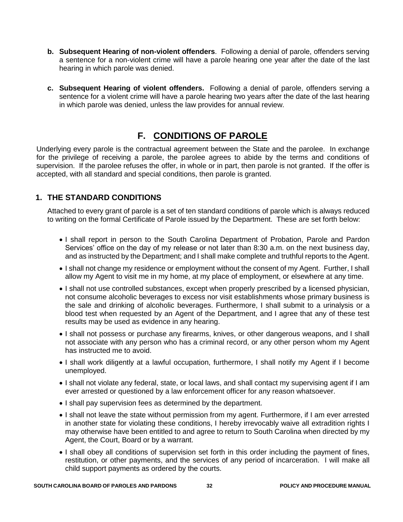- **b. Subsequent Hearing of non-violent offenders**. Following a denial of parole, offenders serving a sentence for a non-violent crime will have a parole hearing one year after the date of the last hearing in which parole was denied.
- **c. Subsequent Hearing of violent offenders.** Following a denial of parole, offenders serving a sentence for a violent crime will have a parole hearing two years after the date of the last hearing in which parole was denied, unless the law provides for annual review.

## **F. CONDITIONS OF PAROLE**

Underlying every parole is the contractual agreement between the State and the parolee. In exchange for the privilege of receiving a parole, the parolee agrees to abide by the terms and conditions of supervision. If the parolee refuses the offer, in whole or in part, then parole is not granted. If the offer is accepted, with all standard and special conditions, then parole is granted.

#### **1. THE STANDARD CONDITIONS**

Attached to every grant of parole is a set of ten standard conditions of parole which is always reduced to writing on the formal Certificate of Parole issued by the Department. These are set forth below:

- I shall report in person to the South Carolina Department of Probation, Parole and Pardon Services' office on the day of my release or not later than 8:30 a.m. on the next business day, and as instructed by the Department; and I shall make complete and truthful reports to the Agent.
- I shall not change my residence or employment without the consent of my Agent. Further, I shall allow my Agent to visit me in my home, at my place of employment, or elsewhere at any time.
- I shall not use controlled substances, except when properly prescribed by a licensed physician, not consume alcoholic beverages to excess nor visit establishments whose primary business is the sale and drinking of alcoholic beverages. Furthermore, I shall submit to a urinalysis or a blood test when requested by an Agent of the Department, and I agree that any of these test results may be used as evidence in any hearing.
- I shall not possess or purchase any firearms, knives, or other dangerous weapons, and I shall not associate with any person who has a criminal record, or any other person whom my Agent has instructed me to avoid.
- I shall work diligently at a lawful occupation, furthermore, I shall notify my Agent if I become unemployed.
- I shall not violate any federal, state, or local laws, and shall contact my supervising agent if I am ever arrested or questioned by a law enforcement officer for any reason whatsoever.
- I shall pay supervision fees as determined by the department.
- I shall not leave the state without permission from my agent. Furthermore, if I am ever arrested in another state for violating these conditions, I hereby irrevocably waive all extradition rights I may otherwise have been entitled to and agree to return to South Carolina when directed by my Agent, the Court, Board or by a warrant.
- I shall obey all conditions of supervision set forth in this order including the payment of fines, restitution, or other payments, and the services of any period of incarceration. I will make all child support payments as ordered by the courts.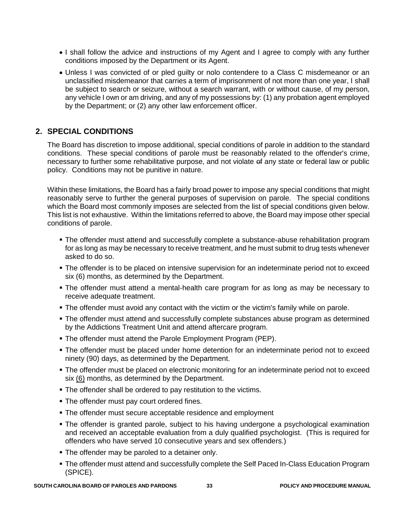- I shall follow the advice and instructions of my Agent and I agree to comply with any further conditions imposed by the Department or its Agent.
- Unless I was convicted of or pled guilty or nolo contendere to a Class C misdemeanor or an unclassified misdemeanor that carries a term of imprisonment of not more than one year, I shall be subject to search or seizure, without a search warrant, with or without cause, of my person, any vehicle I own or am driving, and any of my possessions by: (1) any probation agent employed by the Department; or (2) any other law enforcement officer.

#### **2. SPECIAL CONDITIONS**

The Board has discretion to impose additional, special conditions of parole in addition to the standard conditions. These special conditions of parole must be reasonably related to the offender's crime, necessary to further some rehabilitative purpose, and not violate of any state or federal law or public policy. Conditions may not be punitive in nature.

Within these limitations, the Board has a fairly broad power to impose any special conditions that might reasonably serve to further the general purposes of supervision on parole. The special conditions which the Board most commonly imposes are selected from the list of special conditions given below. This list is not exhaustive. Within the limitations referred to above, the Board may impose other special conditions of parole.

- The offender must attend and successfully complete a substance-abuse rehabilitation program for as long as may be necessary to receive treatment, and he must submit to drug tests whenever asked to do so.
- **The offender is to be placed on intensive supervision for an indeterminate period not to exceed** six (6) months, as determined by the Department.
- The offender must attend a mental-health care program for as long as may be necessary to receive adequate treatment.
- The offender must avoid any contact with the victim or the victim's family while on parole.
- **The offender must attend and successfully complete substances abuse program as determined** by the Addictions Treatment Unit and attend aftercare program.
- The offender must attend the Parole Employment Program (PEP).
- The offender must be placed under home detention for an indeterminate period not to exceed ninety (90) days, as determined by the Department.
- The offender must be placed on electronic monitoring for an indeterminate period not to exceed six (6) months, as determined by the Department.
- The offender shall be ordered to pay restitution to the victims.
- **The offender must pay court ordered fines.**
- **The offender must secure acceptable residence and employment**
- The offender is granted parole, subject to his having undergone a psychological examination and received an acceptable evaluation from a duly qualified psychologist. (This is required for offenders who have served 10 consecutive years and sex offenders.)
- **The offender may be paroled to a detainer only.**
- The offender must attend and successfully complete the Self Paced In-Class Education Program (SPICE).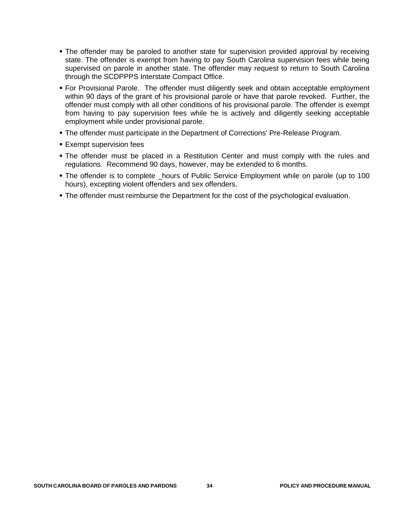- The offender may be paroled to another state for supervision provided approval by receiving state. The offender is exempt from having to pay South Carolina supervision fees while being supervised on parole in another state. The offender may request to return to South Carolina through the SCDPPPS Interstate Compact Office.
- For Provisional Parole. The offender must diligently seek and obtain acceptable employment within 90 days of the grant of his provisional parole or have that parole revoked. Further, the offender must comply with all other conditions of his provisional parole. The offender is exempt from having to pay supervision fees while he is actively and diligently seeking acceptable employment while under provisional parole.
- The offender must participate in the Department of Corrections' Pre-Release Program.
- **Exempt supervision fees**
- The offender must be placed in a Restitution Center and must comply with the rules and regulations. Recommend 90 days, however, may be extended to 6 months.
- The offender is to complete \_hours of Public Service Employment while on parole (up to 100 hours), excepting violent offenders and sex offenders.
- **The offender must reimburse the Department for the cost of the psychological evaluation.**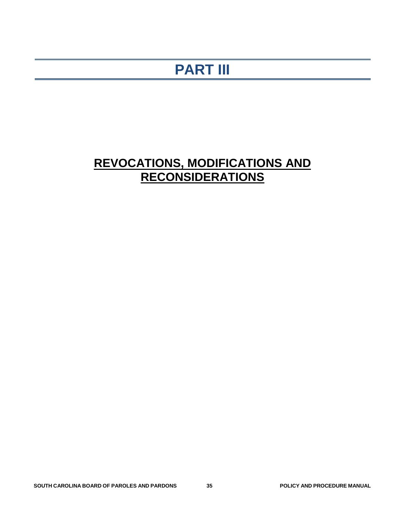## **PART III**

## **REVOCATIONS, MODIFICATIONS AND RECONSIDERATIONS**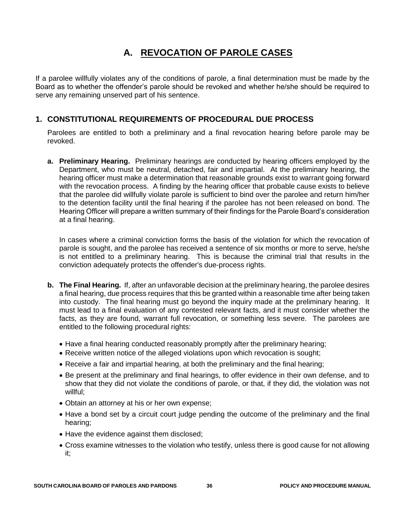## **A. REVOCATION OF PAROLE CASES**

If a parolee willfully violates any of the conditions of parole, a final determination must be made by the Board as to whether the offender's parole should be revoked and whether he/she should be required to serve any remaining unserved part of his sentence.

#### **1. CONSTITUTIONAL REQUIREMENTS OF PROCEDURAL DUE PROCESS**

Parolees are entitled to both a preliminary and a final revocation hearing before parole may be revoked.

**a. Preliminary Hearing.** Preliminary hearings are conducted by hearing officers employed by the Department, who must be neutral, detached, fair and impartial. At the preliminary hearing, the hearing officer must make a determination that reasonable grounds exist to warrant going forward with the revocation process. A finding by the hearing officer that probable cause exists to believe that the parolee did willfully violate parole is sufficient to bind over the parolee and return him/her to the detention facility until the final hearing if the parolee has not been released on bond. The Hearing Officer will prepare a written summary of their findings for the Parole Board's consideration at a final hearing.

In cases where a criminal conviction forms the basis of the violation for which the revocation of parole is sought, and the parolee has received a sentence of six months or more to serve, he/she is not entitled to a preliminary hearing. This is because the criminal trial that results in the conviction adequately protects the offender's due-process rights.

- **b. The Final Hearing.** If, after an unfavorable decision at the preliminary hearing, the parolee desires a final hearing, due process requires that this be granted within a reasonable time after being taken into custody. The final hearing must go beyond the inquiry made at the preliminary hearing. It must lead to a final evaluation of any contested relevant facts, and it must consider whether the facts, as they are found, warrant full revocation, or something less severe. The parolees are entitled to the following procedural rights:
	- Have a final hearing conducted reasonably promptly after the preliminary hearing;
	- Receive written notice of the alleged violations upon which revocation is sought;
	- Receive a fair and impartial hearing, at both the preliminary and the final hearing;
	- Be present at the preliminary and final hearings, to offer evidence in their own defense, and to show that they did not violate the conditions of parole, or that, if they did, the violation was not willful:
	- Obtain an attorney at his or her own expense;
	- Have a bond set by a circuit court judge pending the outcome of the preliminary and the final hearing;
	- Have the evidence against them disclosed;
	- Cross examine witnesses to the violation who testify, unless there is good cause for not allowing it;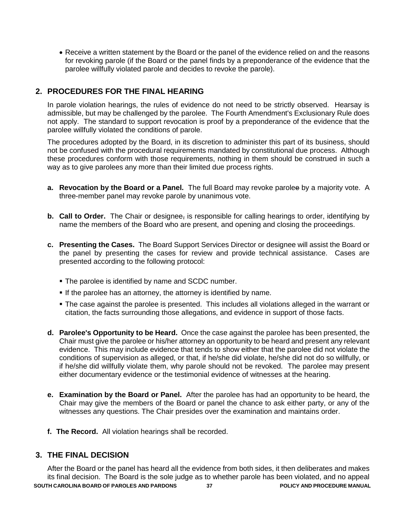Receive a written statement by the Board or the panel of the evidence relied on and the reasons for revoking parole (if the Board or the panel finds by a preponderance of the evidence that the parolee willfully violated parole and decides to revoke the parole).

#### **2. PROCEDURES FOR THE FINAL HEARING**

In parole violation hearings, the rules of evidence do not need to be strictly observed. Hearsay is admissible, but may be challenged by the parolee. The Fourth Amendment's Exclusionary Rule does not apply. The standard to support revocation is proof by a preponderance of the evidence that the parolee willfully violated the conditions of parole.

The procedures adopted by the Board, in its discretion to administer this part of its business, should not be confused with the procedural requirements mandated by constitutional due process. Although these procedures conform with those requirements, nothing in them should be construed in such a way as to give parolees any more than their limited due process rights.

- **a. Revocation by the Board or a Panel.** The full Board may revoke parolee by a majority vote. A three-member panel may revoke parole by unanimous vote.
- **b. Call to Order.** The Chair or designee, is responsible for calling hearings to order, identifying by name the members of the Board who are present, and opening and closing the proceedings.
- **c. Presenting the Cases.** The Board Support Services Director or designee will assist the Board or the panel by presenting the cases for review and provide technical assistance. Cases are presented according to the following protocol:
	- **The parolee is identified by name and SCDC number.**
	- **If the parolee has an attorney, the attorney is identified by name.**
	- The case against the parolee is presented. This includes all violations alleged in the warrant or citation, the facts surrounding those allegations, and evidence in support of those facts.
- **d. Parolee's Opportunity to be Heard.** Once the case against the parolee has been presented, the Chair must give the parolee or his/her attorney an opportunity to be heard and present any relevant evidence. This may include evidence that tends to show either that the parolee did not violate the conditions of supervision as alleged, or that, if he/she did violate, he/she did not do so willfully, or if he/she did willfully violate them, why parole should not be revoked. The parolee may present either documentary evidence or the testimonial evidence of witnesses at the hearing.
- **e. Examination by the Board or Panel.** After the parolee has had an opportunity to be heard, the Chair may give the members of the Board or panel the chance to ask either party, or any of the witnesses any questions. The Chair presides over the examination and maintains order.
- **f. The Record.** All violation hearings shall be recorded.

#### **3. THE FINAL DECISION**

**SOUTH CAROLINA BOARD OF PAROLES AND PARDONS 37 POLICY AND PROCEDURE MANUAL** After the Board or the panel has heard all the evidence from both sides, it then deliberates and makes its final decision. The Board is the sole judge as to whether parole has been violated, and no appeal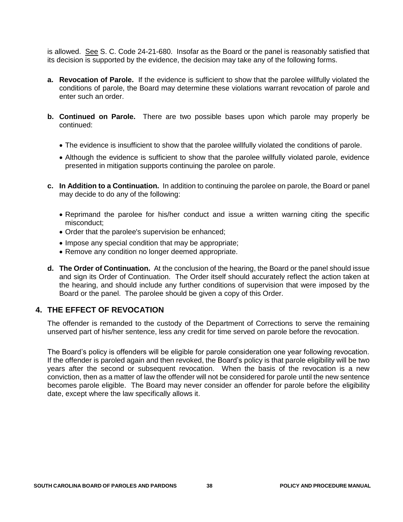is allowed. See S. C. Code 24-21-680. Insofar as the Board or the panel is reasonably satisfied that its decision is supported by the evidence, the decision may take any of the following forms.

- **a. Revocation of Parole.** If the evidence is sufficient to show that the parolee willfully violated the conditions of parole, the Board may determine these violations warrant revocation of parole and enter such an order.
- **b. Continued on Parole.** There are two possible bases upon which parole may properly be continued:
	- The evidence is insufficient to show that the parolee willfully violated the conditions of parole.
	- Although the evidence is sufficient to show that the parolee willfully violated parole, evidence presented in mitigation supports continuing the parolee on parole.
- **c. In Addition to a Continuation.** In addition to continuing the parolee on parole, the Board or panel may decide to do any of the following:
	- Reprimand the parolee for his/her conduct and issue a written warning citing the specific misconduct;
	- Order that the parolee's supervision be enhanced;
	- Impose any special condition that may be appropriate;
	- Remove any condition no longer deemed appropriate.
- **d. The Order of Continuation.** At the conclusion of the hearing, the Board or the panel should issue and sign its Order of Continuation. The Order itself should accurately reflect the action taken at the hearing, and should include any further conditions of supervision that were imposed by the Board or the panel. The parolee should be given a copy of this Order.

#### **4. THE EFFECT OF REVOCATION**

The offender is remanded to the custody of the Department of Corrections to serve the remaining unserved part of his/her sentence, less any credit for time served on parole before the revocation.

The Board's policy is offenders will be eligible for parole consideration one year following revocation. If the offender is paroled again and then revoked, the Board's policy is that parole eligibility will be two years after the second or subsequent revocation. When the basis of the revocation is a new conviction, then as a matter of law the offender will not be considered for parole until the new sentence becomes parole eligible. The Board may never consider an offender for parole before the eligibility date, except where the law specifically allows it.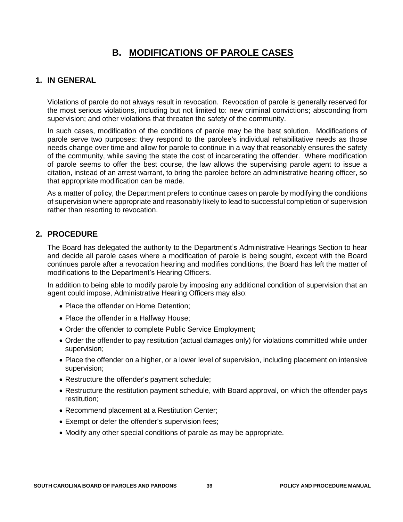## **B. MODIFICATIONS OF PAROLE CASES**

#### **1. IN GENERAL**

Violations of parole do not always result in revocation. Revocation of parole is generally reserved for the most serious violations, including but not limited to: new criminal convictions; absconding from supervision; and other violations that threaten the safety of the community.

In such cases, modification of the conditions of parole may be the best solution. Modifications of parole serve two purposes: they respond to the parolee's individual rehabilitative needs as those needs change over time and allow for parole to continue in a way that reasonably ensures the safety of the community, while saving the state the cost of incarcerating the offender. Where modification of parole seems to offer the best course, the law allows the supervising parole agent to issue a citation, instead of an arrest warrant, to bring the parolee before an administrative hearing officer, so that appropriate modification can be made.

As a matter of policy, the Department prefers to continue cases on parole by modifying the conditions of supervision where appropriate and reasonably likely to lead to successful completion of supervision rather than resorting to revocation.

#### **2. PROCEDURE**

The Board has delegated the authority to the Department's Administrative Hearings Section to hear and decide all parole cases where a modification of parole is being sought, except with the Board continues parole after a revocation hearing and modifies conditions, the Board has left the matter of modifications to the Department's Hearing Officers.

In addition to being able to modify parole by imposing any additional condition of supervision that an agent could impose, Administrative Hearing Officers may also:

- Place the offender on Home Detention:
- Place the offender in a Halfway House;
- Order the offender to complete Public Service Employment;
- Order the offender to pay restitution (actual damages only) for violations committed while under supervision;
- Place the offender on a higher, or a lower level of supervision, including placement on intensive supervision;
- Restructure the offender's payment schedule;
- Restructure the restitution payment schedule, with Board approval, on which the offender pays restitution;
- Recommend placement at a Restitution Center;
- Exempt or defer the offender's supervision fees;
- Modify any other special conditions of parole as may be appropriate.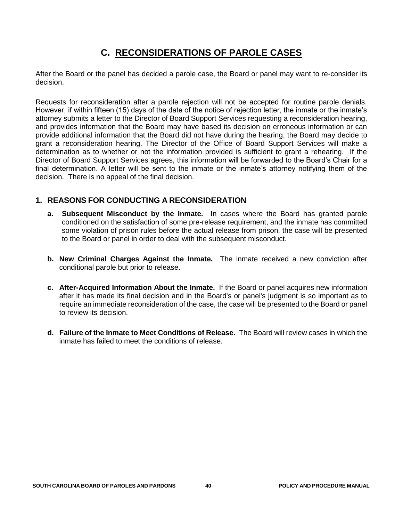## **C. RECONSIDERATIONS OF PAROLE CASES**

After the Board or the panel has decided a parole case, the Board or panel may want to re-consider its decision.

Requests for reconsideration after a parole rejection will not be accepted for routine parole denials. However, if within fifteen (15) days of the date of the notice of rejection letter, the inmate or the inmate's attorney submits a letter to the Director of Board Support Services requesting a reconsideration hearing, and provides information that the Board may have based its decision on erroneous information or can provide additional information that the Board did not have during the hearing, the Board may decide to grant a reconsideration hearing. The Director of the Office of Board Support Services will make a determination as to whether or not the information provided is sufficient to grant a rehearing. If the Director of Board Support Services agrees, this information will be forwarded to the Board's Chair for a final determination. A letter will be sent to the inmate or the inmate's attorney notifying them of the decision. There is no appeal of the final decision.

#### **1. REASONS FOR CONDUCTING A RECONSIDERATION**

- **a. Subsequent Misconduct by the Inmate.** In cases where the Board has granted parole conditioned on the satisfaction of some pre-release requirement, and the inmate has committed some violation of prison rules before the actual release from prison, the case will be presented to the Board or panel in order to deal with the subsequent misconduct.
- **b. New Criminal Charges Against the Inmate.** The inmate received a new conviction after conditional parole but prior to release.
- **c. After-Acquired Information About the Inmate.** If the Board or panel acquires new information after it has made its final decision and in the Board's or panel's judgment is so important as to require an immediate reconsideration of the case, the case will be presented to the Board or panel to review its decision.
- **d. Failure of the Inmate to Meet Conditions of Release.** The Board will review cases in which the inmate has failed to meet the conditions of release.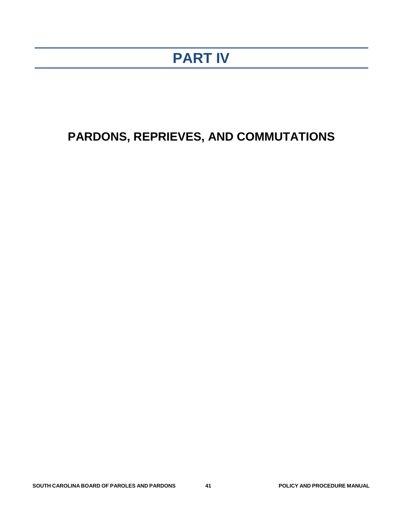## **PART IV**

## **PARDONS, REPRIEVES, AND COMMUTATIONS**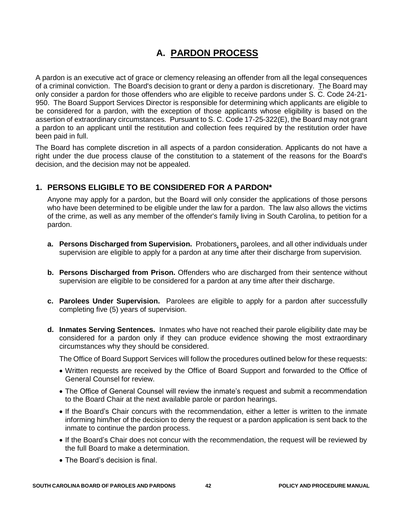## **A. PARDON PROCESS**

A pardon is an executive act of grace or clemency releasing an offender from all the legal consequences of a criminal conviction. The Board's decision to grant or deny a pardon is discretionary. The Board may only consider a pardon for those offenders who are eligible to receive pardons under S. C. Code 24-21- 950. The Board Support Services Director is responsible for determining which applicants are eligible to be considered for a pardon, with the exception of those applicants whose eligibility is based on the assertion of extraordinary circumstances. Pursuant to S. C. Code 17-25-322(E), the Board may not grant a pardon to an applicant until the restitution and collection fees required by the restitution order have been paid in full.

The Board has complete discretion in all aspects of a pardon consideration. Applicants do not have a right under the due process clause of the constitution to a statement of the reasons for the Board's decision, and the decision may not be appealed.

#### **1. PERSONS ELIGIBLE TO BE CONSIDERED FOR A PARDON\***

Anyone may apply for a pardon, but the Board will only consider the applications of those persons who have been determined to be eligible under the law for a pardon. The law also allows the victims of the crime, as well as any member of the offender's family living in South Carolina, to petition for a pardon.

- **a. Persons Discharged from Supervision.** Probationers, parolees, and all other individuals under supervision are eligible to apply for a pardon at any time after their discharge from supervision.
- **b. Persons Discharged from Prison.** Offenders who are discharged from their sentence without supervision are eligible to be considered for a pardon at any time after their discharge.
- **c. Parolees Under Supervision.** Parolees are eligible to apply for a pardon after successfully completing five (5) years of supervision.
- **d. Inmates Serving Sentences.** Inmates who have not reached their parole eligibility date may be considered for a pardon only if they can produce evidence showing the most extraordinary circumstances why they should be considered.

The Office of Board Support Services will follow the procedures outlined below for these requests:

- Written requests are received by the Office of Board Support and forwarded to the Office of General Counsel for review.
- The Office of General Counsel will review the inmate's request and submit a recommendation to the Board Chair at the next available parole or pardon hearings.
- If the Board's Chair concurs with the recommendation, either a letter is written to the inmate informing him/her of the decision to deny the request or a pardon application is sent back to the inmate to continue the pardon process.
- If the Board's Chair does not concur with the recommendation, the request will be reviewed by the full Board to make a determination.
- The Board's decision is final.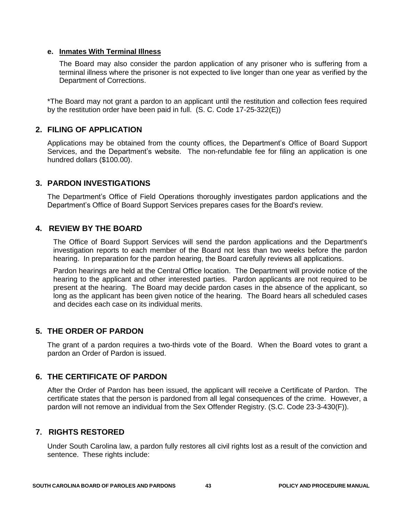#### **e. Inmates With Terminal Illness**

The Board may also consider the pardon application of any prisoner who is suffering from a terminal illness where the prisoner is not expected to live longer than one year as verified by the Department of Corrections.

\*The Board may not grant a pardon to an applicant until the restitution and collection fees required by the restitution order have been paid in full. (S. C. Code 17-25-322(E))

#### **2. FILING OF APPLICATION**

Applications may be obtained from the county offices, the Department's Office of Board Support Services, and the Department's website. The non-refundable fee for filing an application is one hundred dollars (\$100.00).

#### **3. PARDON INVESTIGATIONS**

The Department's Office of Field Operations thoroughly investigates pardon applications and the Department's Office of Board Support Services prepares cases for the Board's review.

#### **4. REVIEW BY THE BOARD**

The Office of Board Support Services will send the pardon applications and the Department's investigation reports to each member of the Board not less than two weeks before the pardon hearing. In preparation for the pardon hearing, the Board carefully reviews all applications.

Pardon hearings are held at the Central Office location. The Department will provide notice of the hearing to the applicant and other interested parties. Pardon applicants are not required to be present at the hearing. The Board may decide pardon cases in the absence of the applicant, so long as the applicant has been given notice of the hearing. The Board hears all scheduled cases and decides each case on its individual merits.

#### **5. THE ORDER OF PARDON**

The grant of a pardon requires a two-thirds vote of the Board. When the Board votes to grant a pardon an Order of Pardon is issued.

#### **6. THE CERTIFICATE OF PARDON**

After the Order of Pardon has been issued, the applicant will receive a Certificate of Pardon. The certificate states that the person is pardoned from all legal consequences of the crime. However, a pardon will not remove an individual from the Sex Offender Registry. (S.C. Code 23-3-430(F)).

#### **7. RIGHTS RESTORED**

Under South Carolina law, a pardon fully restores all civil rights lost as a result of the conviction and sentence. These rights include: